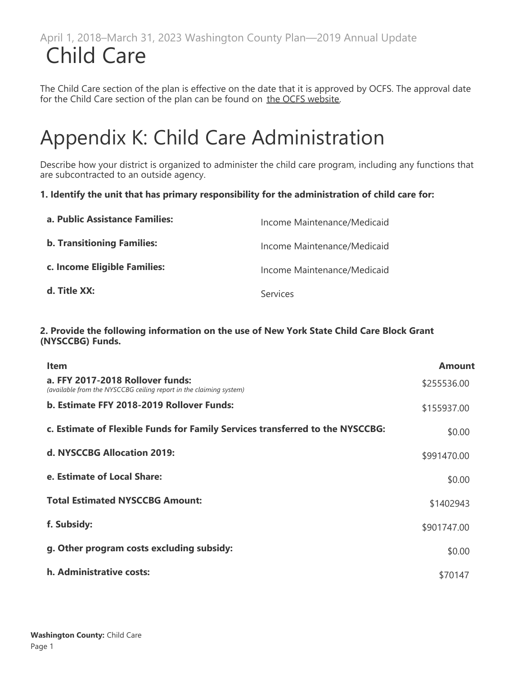The Child Care section of the plan is effective on the date that it is approved by OCFS. The approval date for the Child Care section of the plan can be found on [the OCFS website](https://ocfs.ny.gov/main/childcare/plans/plans.asp).

# Appendix K: Child Care Administration

Describe how your district is organized to administer the child care program, including any functions that are subcontracted to an outside agency.

#### **1. Identify the unit that has primary responsibility for the administration of child care for:**

| a. Public Assistance Families:    | Income Maintenance/Medicaid |
|-----------------------------------|-----------------------------|
| <b>b. Transitioning Families:</b> | Income Maintenance/Medicaid |
| c. Income Eligible Families:      | Income Maintenance/Medicaid |
| d. Title XX:                      | Services                    |

#### **2. Provide the following information on the use of New York State Child Care Block Grant (NYSCCBG) Funds.**

| <b>Item</b>                                                                                            | <b>Amount</b> |
|--------------------------------------------------------------------------------------------------------|---------------|
| a. FFY 2017-2018 Rollover funds:<br>(available from the NYSCCBG ceiling report in the claiming system) | \$255536.00   |
| b. Estimate FFY 2018-2019 Rollover Funds:                                                              | \$155937.00   |
| c. Estimate of Flexible Funds for Family Services transferred to the NYSCCBG:                          | \$0.00        |
| d. NYSCCBG Allocation 2019:                                                                            | \$991470.00   |
| e. Estimate of Local Share:                                                                            | \$0.00        |
| <b>Total Estimated NYSCCBG Amount:</b>                                                                 | \$1402943     |
| f. Subsidy:                                                                                            | \$901747.00   |
| g. Other program costs excluding subsidy:                                                              | \$0.00        |
| h. Administrative costs:                                                                               | \$70147       |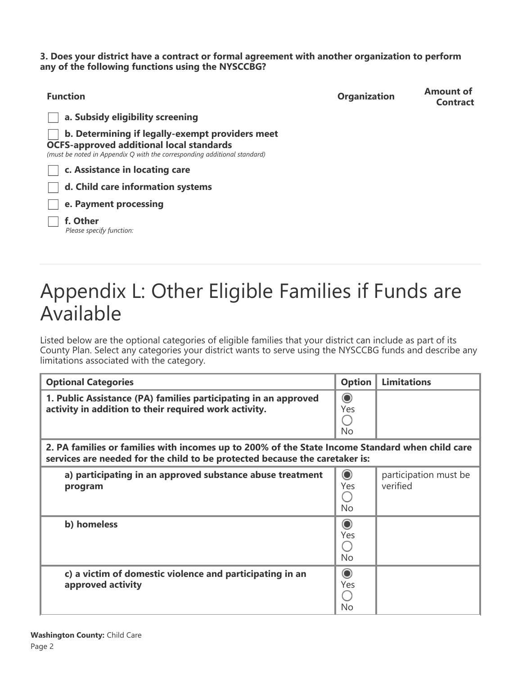**3. Does your district have a contract or formal agreement with another organization to perform any of the following functions using the NYSCCBG?**

| <b>Function</b>                                                                                                                                                                | <b>Organization</b> | <b>Amount of</b><br><b>Contract</b> |  |  |  |  |
|--------------------------------------------------------------------------------------------------------------------------------------------------------------------------------|---------------------|-------------------------------------|--|--|--|--|
| a. Subsidy eligibility screening                                                                                                                                               |                     |                                     |  |  |  |  |
| b. Determining if legally-exempt providers meet<br><b>OCFS-approved additional local standards</b><br>(must be noted in Appendix Q with the corresponding additional standard) |                     |                                     |  |  |  |  |
| c. Assistance in locating care                                                                                                                                                 |                     |                                     |  |  |  |  |
| d. Child care information systems                                                                                                                                              |                     |                                     |  |  |  |  |
| e. Payment processing                                                                                                                                                          |                     |                                     |  |  |  |  |
| f. Other<br>Please specify function:                                                                                                                                           |                     |                                     |  |  |  |  |

# Appendix L: Other Eligible Families if Funds are Available

Listed below are the optional categories of eligible families that your district can include as part of its County Plan. Select any categories your district wants to serve using the NYSCCBG funds and describe any limitations associated with the category.

| <b>Optional Categories</b>                                                                                                                                                     | <b>Option</b>               | <b>Limitations</b>                |
|--------------------------------------------------------------------------------------------------------------------------------------------------------------------------------|-----------------------------|-----------------------------------|
| 1. Public Assistance (PA) families participating in an approved<br>activity in addition to their required work activity.                                                       | $\odot$<br>Yes<br><b>No</b> |                                   |
| 2. PA families or families with incomes up to 200% of the State Income Standard when child care<br>services are needed for the child to be protected because the caretaker is: |                             |                                   |
| a) participating in an approved substance abuse treatment<br>program                                                                                                           | $\odot$<br>Yes<br>No        | participation must be<br>verified |
| b) homeless                                                                                                                                                                    | $\odot$<br>Yes<br>No        |                                   |
| c) a victim of domestic violence and participating in an<br>approved activity                                                                                                  | $\odot$<br>Yes<br>No        |                                   |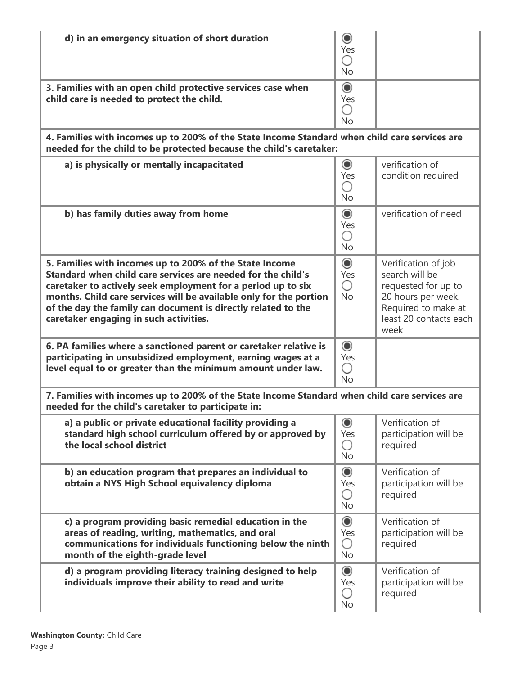| d) in an emergency situation of short duration                                                                                                                                                                                                                                                                                                                           | $\circledcirc$<br>Yes<br>∩<br><b>No</b> |                                                                                                                                             |
|--------------------------------------------------------------------------------------------------------------------------------------------------------------------------------------------------------------------------------------------------------------------------------------------------------------------------------------------------------------------------|-----------------------------------------|---------------------------------------------------------------------------------------------------------------------------------------------|
| 3. Families with an open child protective services case when<br>child care is needed to protect the child.                                                                                                                                                                                                                                                               | $\circledcirc$<br>Yes<br>O<br><b>No</b> |                                                                                                                                             |
| 4. Families with incomes up to 200% of the State Income Standard when child care services are<br>needed for the child to be protected because the child's caretaker:                                                                                                                                                                                                     |                                         |                                                                                                                                             |
| a) is physically or mentally incapacitated                                                                                                                                                                                                                                                                                                                               | $\circledcirc$<br>Yes<br>Ο<br><b>No</b> | verification of<br>condition required                                                                                                       |
| b) has family duties away from home                                                                                                                                                                                                                                                                                                                                      | $\odot$<br>Yes<br>O<br><b>No</b>        | verification of need                                                                                                                        |
| 5. Families with incomes up to 200% of the State Income<br>Standard when child care services are needed for the child's<br>caretaker to actively seek employment for a period up to six<br>months. Child care services will be available only for the portion<br>of the day the family can document is directly related to the<br>caretaker engaging in such activities. | $\odot$<br>Yes<br>∩<br><b>No</b>        | Verification of job<br>search will be<br>requested for up to<br>20 hours per week.<br>Required to make at<br>least 20 contacts each<br>week |
| 6. PA families where a sanctioned parent or caretaker relative is<br>participating in unsubsidized employment, earning wages at a<br>level equal to or greater than the minimum amount under law.                                                                                                                                                                        | $\odot$<br>Yes<br>О<br><b>No</b>        |                                                                                                                                             |
| 7. Families with incomes up to 200% of the State Income Standard when child care services are<br>needed for the child's caretaker to participate in:                                                                                                                                                                                                                     |                                         |                                                                                                                                             |
| a) a public or private educational facility providing a<br>standard high school curriculum offered by or approved by<br>the local school district                                                                                                                                                                                                                        | $\circledcirc$<br>Yes<br>О<br><b>No</b> | Verification of<br>participation will be<br>required                                                                                        |
| b) an education program that prepares an individual to<br>obtain a NYS High School equivalency diploma                                                                                                                                                                                                                                                                   | $\odot$<br>Yes<br>∩<br><b>No</b>        | Verification of<br>participation will be<br>required                                                                                        |
| c) a program providing basic remedial education in the<br>areas of reading, writing, mathematics, and oral<br>communications for individuals functioning below the ninth<br>month of the eighth-grade level                                                                                                                                                              | $\circledcirc$<br>Yes<br>О<br>No        | Verification of<br>participation will be<br>required                                                                                        |
| d) a program providing literacy training designed to help<br>individuals improve their ability to read and write                                                                                                                                                                                                                                                         | $\odot$<br>Yes<br>О<br><b>No</b>        | Verification of<br>participation will be<br>required                                                                                        |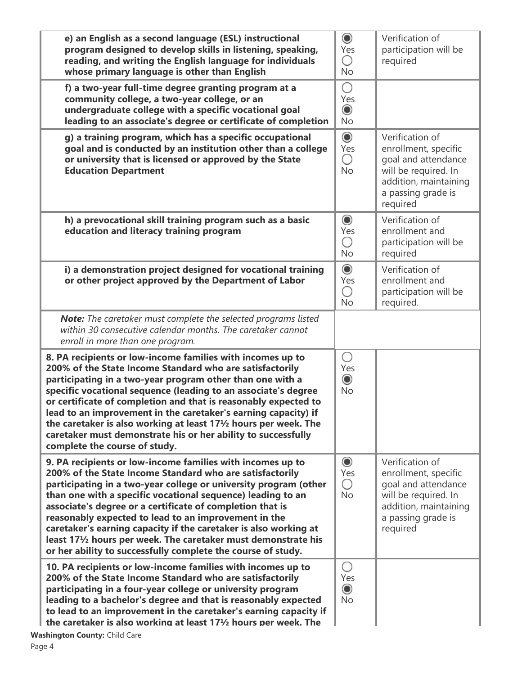| e) an English as a second language (ESL) instructional<br>program designed to develop skills in listening, speaking,<br>reading, and writing the English language for individuals<br>whose primary language is other than English                                                                                                                                                                                                                                                                                                                                                         | $\odot$<br>Yes<br>О<br><b>No</b>        | Verification of<br>participation will be<br>required                                                                                              |
|-------------------------------------------------------------------------------------------------------------------------------------------------------------------------------------------------------------------------------------------------------------------------------------------------------------------------------------------------------------------------------------------------------------------------------------------------------------------------------------------------------------------------------------------------------------------------------------------|-----------------------------------------|---------------------------------------------------------------------------------------------------------------------------------------------------|
| f) a two-year full-time degree granting program at a<br>community college, a two-year college, or an<br>undergraduate college with a specific vocational goal<br>leading to an associate's degree or certificate of completion                                                                                                                                                                                                                                                                                                                                                            | Ο<br>Yes<br>$\circledcirc$<br><b>No</b> |                                                                                                                                                   |
| g) a training program, which has a specific occupational<br>goal and is conducted by an institution other than a college<br>or university that is licensed or approved by the State<br><b>Education Department</b>                                                                                                                                                                                                                                                                                                                                                                        | $\odot$<br>Yes<br>O<br>No               | Verification of<br>enrollment, specific<br>goal and attendance<br>will be required. In<br>addition, maintaining<br>a passing grade is<br>required |
| h) a prevocational skill training program such as a basic<br>education and literacy training program                                                                                                                                                                                                                                                                                                                                                                                                                                                                                      | $\odot$<br>Yes<br>O<br><b>No</b>        | Verification of<br>enrollment and<br>participation will be<br>required                                                                            |
| i) a demonstration project designed for vocational training<br>or other project approved by the Department of Labor                                                                                                                                                                                                                                                                                                                                                                                                                                                                       | $\odot$<br>Yes<br>O<br><b>No</b>        | Verification of<br>enrollment and<br>participation will be<br>required.                                                                           |
| Note: The caretaker must complete the selected programs listed<br>within 30 consecutive calendar months. The caretaker cannot<br>enroll in more than one program.                                                                                                                                                                                                                                                                                                                                                                                                                         |                                         |                                                                                                                                                   |
| 8. PA recipients or low-income families with incomes up to<br>200% of the State Income Standard who are satisfactorily<br>participating in a two-year program other than one with a<br>specific vocational sequence (leading to an associate's degree<br>or certificate of completion and that is reasonably expected to<br>lead to an improvement in the caretaker's earning capacity) if<br>the caretaker is also working at least 17 <sup>1</sup> / <sub>2</sub> hours per week. The<br>caretaker must demonstrate his or her ability to successfully<br>complete the course of study. | О<br>Yes<br>$\odot$<br><b>No</b>        |                                                                                                                                                   |
| 9. PA recipients or low-income families with incomes up to<br>200% of the State Income Standard who are satisfactorily<br>participating in a two-year college or university program (other<br>than one with a specific vocational sequence) leading to an<br>associate's degree or a certificate of completion that is<br>reasonably expected to lead to an improvement in the<br>caretaker's earning capacity if the caretaker is also working at<br>least 171/2 hours per week. The caretaker must demonstrate his<br>or her ability to successfully complete the course of study.      | $\odot$<br>Yes<br>O<br><b>No</b>        | Verification of<br>enrollment, specific<br>goal and attendance<br>will be required. In<br>addition, maintaining<br>a passing grade is<br>required |
| 10. PA recipients or low-income families with incomes up to<br>200% of the State Income Standard who are satisfactorily<br>participating in a four-year college or university program<br>leading to a bachelor's degree and that is reasonably expected<br>to lead to an improvement in the caretaker's earning capacity if<br>the caretaker is also working at least $17\frac{1}{2}$ hours per week. The                                                                                                                                                                                 | O<br>Yes<br>$\odot$<br><b>No</b>        |                                                                                                                                                   |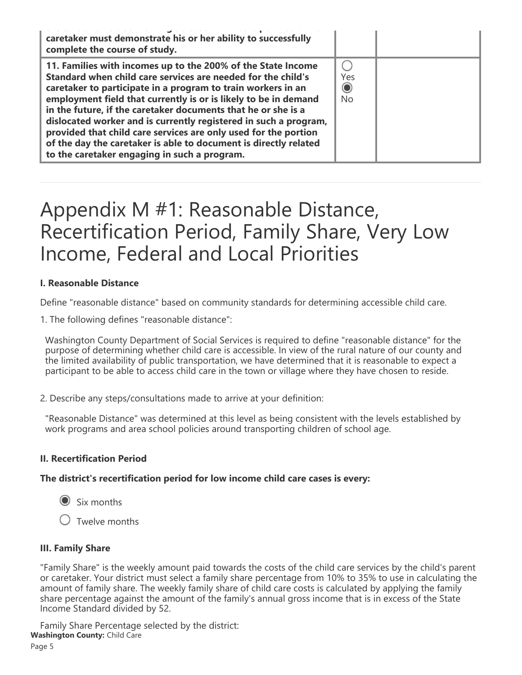| caretaker must demonstrate his or her ability to successfully<br>complete the course of study.                                                                                                                                                                                                                                                                                                                                                                                                                                                                                              |                             |  |
|---------------------------------------------------------------------------------------------------------------------------------------------------------------------------------------------------------------------------------------------------------------------------------------------------------------------------------------------------------------------------------------------------------------------------------------------------------------------------------------------------------------------------------------------------------------------------------------------|-----------------------------|--|
| 11. Families with incomes up to the 200% of the State Income<br>Standard when child care services are needed for the child's<br>caretaker to participate in a program to train workers in an<br>employment field that currently is or is likely to be in demand<br>in the future, if the caretaker documents that he or she is a<br>dislocated worker and is currently registered in such a program,<br>provided that child care services are only used for the portion<br>of the day the caretaker is able to document is directly related<br>to the caretaker engaging in such a program. | Yes<br>$\odot$<br><b>No</b> |  |

## Appendix M #1: Reasonable Distance, Recertification Period, Family Share, Very Low Income, Federal and Local Priorities

#### **I. Reasonable Distance**

Define "reasonable distance" based on community standards for determining accessible child care.

1. The following defines "reasonable distance":

Washington County Department of Social Services is required to define "reasonable distance" for the purpose of determining whether child care is accessible. In view of the rural nature of our county and the limited availability of public transportation, we have determined that it is reasonable to expect a participant to be able to access child care in the town or village where they have chosen to reside.

2. Describe any steps/consultations made to arrive at your definition:

"Reasonable Distance" was determined at this level as being consistent with the levels established by work programs and area school policies around transporting children of school age.

#### **II. Recertification Period**

**The district's recertification period for low income child care cases is every:**

Six months

 $\bigcirc$  Twelve months

#### **III. Family Share**

"Family Share" is the weekly amount paid towards the costs of the child care services by the child's parent or caretaker. Your district must select a family share percentage from 10% to 35% to use in calculating the amount of family share. The weekly family share of child care costs is calculated by applying the family share percentage against the amount of the family's annual gross income that is in excess of the State Income Standard divided by 52.

Family Share Percentage selected by the district: **Washington County:** Child Care Page 5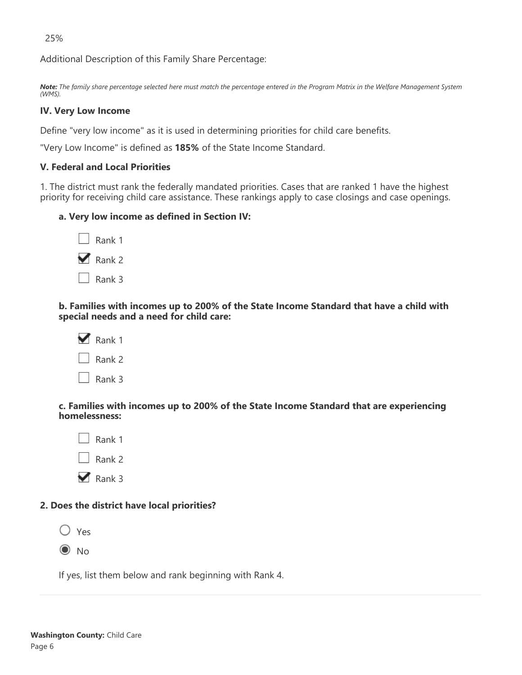25%

Additional Description of this Family Share Percentage:

*Note: The family share percentage selected here must match the percentage entered in the Program Matrix in the Welfare Management System (WMS).*

#### **IV. Very Low Income**

Define "very low income" as it is used in determining priorities for child care benefits.

"Very Low Income" is defined as **185%** of the State Income Standard.

#### **V. Federal and Local Priorities**

1. The district must rank the federally mandated priorities. Cases that are ranked 1 have the highest priority for receiving child care assistance. These rankings apply to case closings and case openings.

#### **a. Very low income as defined in Section IV:**

| Rank 1            |
|-------------------|
| $\sqrt{2}$ Rank 2 |
| Rank 3            |

**b. Families with incomes up to 200% of the State Income Standard that have a child with special needs and a need for child care:**

| Rank 1 |
|--------|
| Rank 2 |
| Rank 3 |

**c. Families with incomes up to 200% of the State Income Standard that are experiencing homelessness:**



#### **2. Does the district have local priorities?**



If yes, list them below and rank beginning with Rank 4.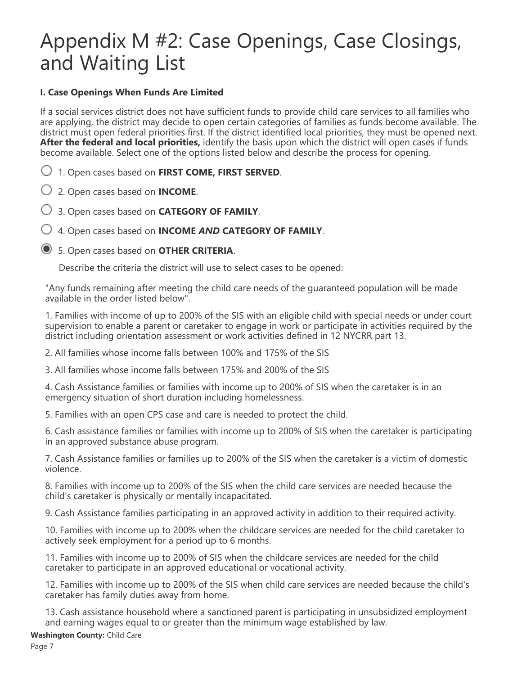# Appendix M #2: Case Openings, Case Closings, and Waiting List

#### **I. Case Openings When Funds Are Limited**

If a social services district does not have sufficient funds to provide child care services to all families who are applying, the district may decide to open certain categories of families as funds become available. The district must open federal priorities first. If the district identified local priorities, they must be opened next. **After the federal and local priorities,** identify the basis upon which the district will open cases if funds become available. Select one of the options listed below and describe the process for opening.

1. Open cases based on **FIRST COME, FIRST SERVED**.

2. Open cases based on **INCOME**.

3. Open cases based on **CATEGORY OF FAMILY**.

4. Open cases based on **INCOME** *AND* **CATEGORY OF FAMILY**.

5. Open cases based on **OTHER CRITERIA**.

Describe the criteria the district will use to select cases to be opened:

"Any funds remaining after meeting the child care needs of the guaranteed population will be made available in the order listed below".

1. Families with income of up to 200% of the SIS with an eligible child with special needs or under court supervision to enable a parent or caretaker to engage in work or participate in activities required by the district including orientation assessment or work activities defined in 12 NYCRR part 13.

2. All families whose income falls between 100% and 175% of the SIS

3. All families whose income falls between 175% and 200% of the SIS

4. Cash Assistance families or families with income up to 200% of SIS when the caretaker is in an emergency situation of short duration including homelessness.

5. Families with an open CPS case and care is needed to protect the child.

6. Cash assistance families or families with income up to 200% of SIS when the caretaker is participating in an approved substance abuse program.

7. Cash Assistance families or families up to 200% of the SIS when the caretaker is a victim of domestic violence.

8. Families with income up to 200% of the SIS when the child care services are needed because the child's caretaker is physically or mentally incapacitated.

9. Cash Assistance families participating in an approved activity in addition to their required activity.

10. Families with income up to 200% when the childcare services are needed for the child caretaker to actively seek employment for a period up to 6 months.

11. Families with income up to 200% of SIS when the childcare services are needed for the child caretaker to participate in an approved educational or vocational activity.

12. Families with income up to 200% of the SIS when child care services are needed because the child's caretaker has family duties away from home.

13. Cash assistance household where a sanctioned parent is participating in unsubsidized employment and earning wages equal to or greater than the minimum wage established by law.

**Washington County:** Child Care

Page 7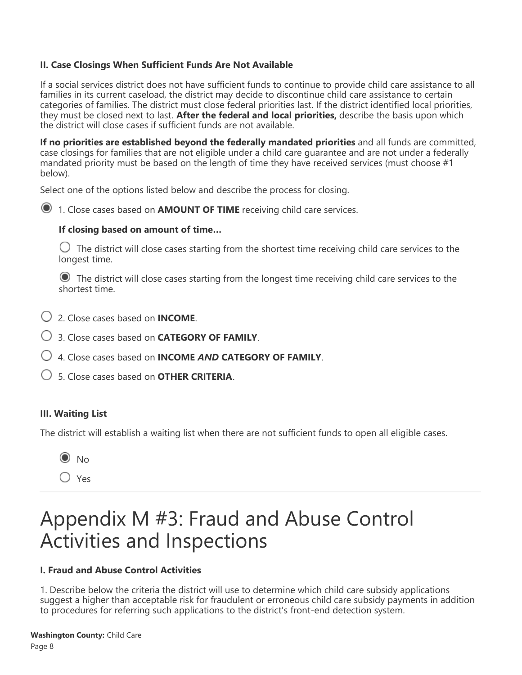#### **II. Case Closings When Sufficient Funds Are Not Available**

If a social services district does not have sufficient funds to continue to provide child care assistance to all families in its current caseload, the district may decide to discontinue child care assistance to certain categories of families. The district must close federal priorities last. If the district identified local priorities, they must be closed next to last. **After the federal and local priorities,** describe the basis upon which the district will close cases if sufficient funds are not available.

**If no priorities are established beyond the federally mandated priorities** and all funds are committed, case closings for families that are not eligible under a child care guarantee and are not under a federally mandated priority must be based on the length of time they have received services (must choose #1 below).

Select one of the options listed below and describe the process for closing.

1. Close cases based on **AMOUNT OF TIME** receiving child care services.

#### **If closing based on amount of time…**

 $\bigcirc$  The district will close cases starting from the shortest time receiving child care services to the longest time.

 The district will close cases starting from the longest time receiving child care services to the shortest time.

- 2. Close cases based on **INCOME**.
- 3. Close cases based on **CATEGORY OF FAMILY**.
- 4. Close cases based on **INCOME** *AND* **CATEGORY OF FAMILY**.
- 5. Close cases based on **OTHER CRITERIA**.

#### **III. Waiting List**

The district will establish a waiting list when there are not sufficient funds to open all eligible cases.



Yes

### Appendix M #3: Fraud and Abuse Control Activities and Inspections

#### **I. Fraud and Abuse Control Activities**

1. Describe below the criteria the district will use to determine which child care subsidy applications suggest a higher than acceptable risk for fraudulent or erroneous child care subsidy payments in addition to procedures for referring such applications to the district's front-end detection system.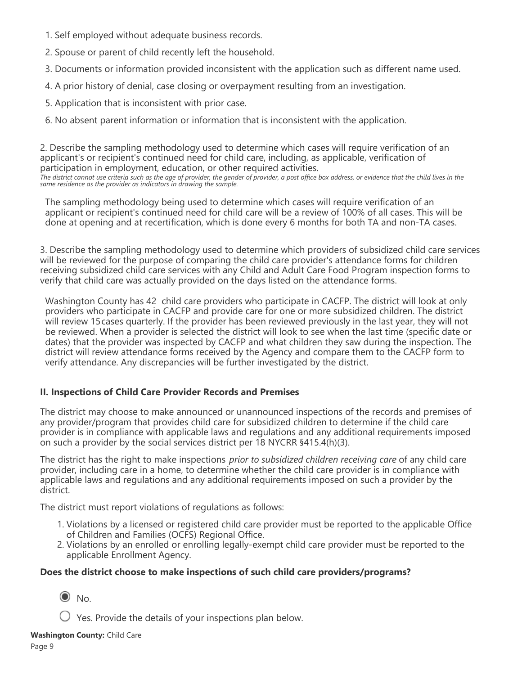- 1. Self employed without adequate business records.
- 2. Spouse or parent of child recently left the household.
- 3. Documents or information provided inconsistent with the application such as different name used.
- 4. A prior history of denial, case closing or overpayment resulting from an investigation.
- 5. Application that is inconsistent with prior case.
- 6. No absent parent information or information that is inconsistent with the application.

2. Describe the sampling methodology used to determine which cases will require verification of an applicant's or recipient's continued need for child care, including, as applicable, verification of participation in employment, education, or other required activities. *The district cannot use criteria such as the age of provider, the gender of provider, a post office box address, or evidence that the child lives in the same residence as the provider as indicators in drawing the sample.*

The sampling methodology being used to determine which cases will require verification of an applicant or recipient's continued need for child care will be a review of 100% of all cases. This will be done at opening and at recertification, which is done every 6 months for both TA and non-TA cases.

3. Describe the sampling methodology used to determine which providers of subsidized child care services will be reviewed for the purpose of comparing the child care provider's attendance forms for children receiving subsidized child care services with any Child and Adult Care Food Program inspection forms to verify that child care was actually provided on the days listed on the attendance forms.

Washington County has 42 child care providers who participate in CACFP. The district will look at only providers who participate in CACFP and provide care for one or more subsidized children. The district will review 15cases quarterly. If the provider has been reviewed previously in the last year, they will not be reviewed. When a provider is selected the district will look to see when the last time (specific date or dates) that the provider was inspected by CACFP and what children they saw during the inspection. The district will review attendance forms received by the Agency and compare them to the CACFP form to verify attendance. Any discrepancies will be further investigated by the district.

#### **II. Inspections of Child Care Provider Records and Premises**

The district may choose to make announced or unannounced inspections of the records and premises of any provider/program that provides child care for subsidized children to determine if the child care provider is in compliance with applicable laws and regulations and any additional requirements imposed on such a provider by the social services district per 18 NYCRR §415.4(h)(3).

The district has the right to make inspections *prior to subsidized children receiving care* of any child care provider, including care in a home, to determine whether the child care provider is in compliance with applicable laws and regulations and any additional requirements imposed on such a provider by the district.

The district must report violations of regulations as follows:

- 1. Violations by a licensed or registered child care provider must be reported to the applicable Office of Children and Families (OCFS) Regional Office.
- 2. Violations by an enrolled or enrolling legally-exempt child care provider must be reported to the applicable Enrollment Agency.

#### **Does the district choose to make inspections of such child care providers/programs?**

 $\odot$  No.

 $\bigcup$  Yes. Provide the details of your inspections plan below.

**Washington County:** Child Care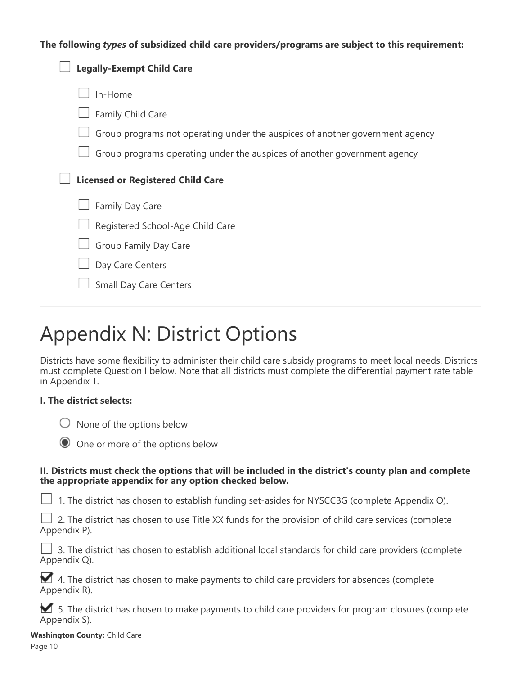#### **The following** *types* **of subsidized child care providers/programs are subject to this requirement:**

| <b>Legally-Exempt Child Care</b>                                             |
|------------------------------------------------------------------------------|
| In-Home                                                                      |
| Family Child Care                                                            |
| Group programs not operating under the auspices of another government agency |
| Group programs operating under the auspices of another government agency     |
| <b>Licensed or Registered Child Care</b>                                     |
| Family Day Care                                                              |
| Registered School-Age Child Care                                             |
| Group Family Day Care                                                        |
| Day Care Centers                                                             |
| <b>Small Day Care Centers</b>                                                |

# Appendix N: District Options

Districts have some flexibility to administer their child care subsidy programs to meet local needs. Districts must complete Question I below. Note that all districts must complete the differential payment rate table in Appendix T.

#### **I. The district selects:**

 $\bigcirc$  None of the options below



#### **II. Districts must check the options that will be included in the district's county plan and complete the appropriate appendix for any option checked below.**

 $\Box$  1. The district has chosen to establish funding set-asides for NYSCCBG (complete Appendix O).

|  |              |  |  |  |  |  |  |  |  |  | $\Box$ 2. The district has chosen to use Title XX funds for the provision of child care services (complete |  |  |  |  |
|--|--------------|--|--|--|--|--|--|--|--|--|------------------------------------------------------------------------------------------------------------|--|--|--|--|
|  | Appendix P). |  |  |  |  |  |  |  |  |  |                                                                                                            |  |  |  |  |

|  |              |  |  |  | $\Box$ 3. The district has chosen to establish additional local standards for child care providers (complete |  |  |  |  |  |  |
|--|--------------|--|--|--|--------------------------------------------------------------------------------------------------------------|--|--|--|--|--|--|
|  | Appendix Q). |  |  |  |                                                                                                              |  |  |  |  |  |  |

4. The district has chosen to make payments to child care providers for absences (complete Appendix R).

5. The district has chosen to make payments to child care providers for program closures (complete Appendix S).

**Washington County:** Child Care Page 10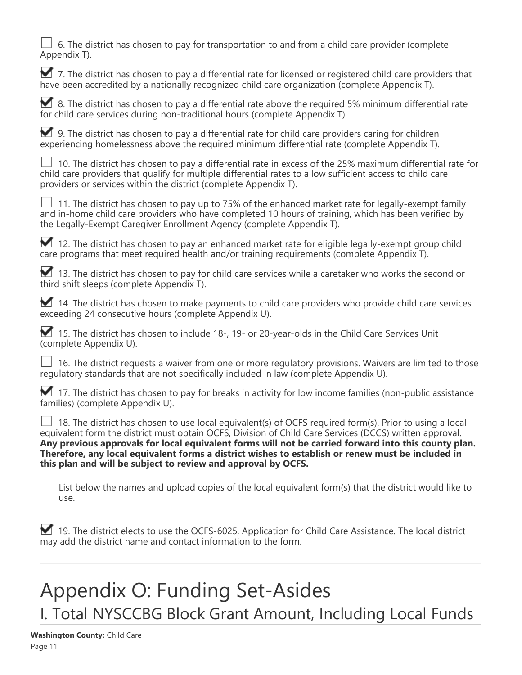6. The district has chosen to pay for transportation to and from a child care provider (complete Appendix T).

7. The district has chosen to pay a differential rate for licensed or registered child care providers that have been accredited by a nationally recognized child care organization (complete Appendix T).

8. The district has chosen to pay a differential rate above the required 5% minimum differential rate for child care services during non-traditional hours (complete Appendix T).

9. The district has chosen to pay a differential rate for child care providers caring for children experiencing homelessness above the required minimum differential rate (complete Appendix T).

 $\Box$  10. The district has chosen to pay a differential rate in excess of the 25% maximum differential rate for child care providers that qualify for multiple differential rates to allow sufficient access to child care providers or services within the district (complete Appendix T).

 11. The district has chosen to pay up to 75% of the enhanced market rate for legally-exempt family and in-home child care providers who have completed 10 hours of training, which has been verified by the Legally-Exempt Caregiver Enrollment Agency (complete Appendix T).

12. The district has chosen to pay an enhanced market rate for eligible legally-exempt group child care programs that meet required health and/or training requirements (complete Appendix T).

13. The district has chosen to pay for child care services while a caretaker who works the second or third shift sleeps (complete Appendix T).

 $\blacksquare$  14. The district has chosen to make payments to child care providers who provide child care services exceeding 24 consecutive hours (complete Appendix U).

15. The district has chosen to include 18-, 19- or 20-year-olds in the Child Care Services Unit (complete Appendix U).

 $\Box$  16. The district requests a waiver from one or more regulatory provisions. Waivers are limited to those regulatory standards that are not specifically included in law (complete Appendix U).

 $\blacksquare$  17. The district has chosen to pay for breaks in activity for low income families (non-public assistance families) (complete Appendix U).

 18. The district has chosen to use local equivalent(s) of OCFS required form(s). Prior to using a local equivalent form the district must obtain OCFS, Division of Child Care Services (DCCS) written approval. **Any previous approvals for local equivalent forms will not be carried forward into this county plan. Therefore, any local equivalent forms a district wishes to establish or renew must be included in this plan and will be subject to review and approval by OCFS.**

List below the names and upload copies of the local equivalent form(s) that the district would like to use.

19. The district elects to use the OCFS-6025, Application for Child Care Assistance. The local district may add the district name and contact information to the form.

# Appendix O: Funding Set-Asides I. Total NYSCCBG Block Grant Amount, Including Local Funds

**Washington County:** Child Care Page 11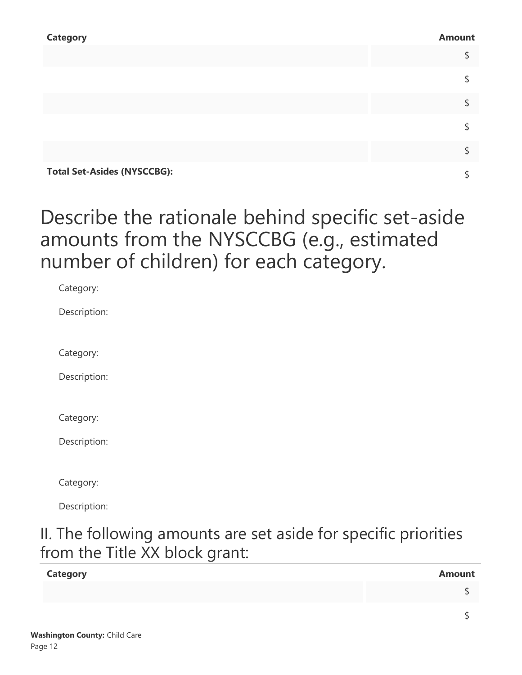| <b>Category</b>                    | <b>Amount</b> |
|------------------------------------|---------------|
|                                    | \$            |
|                                    | \$            |
|                                    | \$            |
|                                    | \$            |
|                                    | \$            |
| <b>Total Set-Asides (NYSCCBG):</b> | \$            |

### Describe the rationale behind specific set-aside amounts from the NYSCCBG (e.g., estimated number of children) for each category.

| Category:    |  |  |
|--------------|--|--|
| Description: |  |  |
|              |  |  |
| Category:    |  |  |
| Description: |  |  |
|              |  |  |
| Category:    |  |  |
| Description: |  |  |
|              |  |  |
| Category:    |  |  |
| Description: |  |  |

### II. The following amounts are set aside for specific priorities from the Title XX block grant:

| <b>Category</b> | <b>Amount</b> |
|-----------------|---------------|
|                 |               |
|                 |               |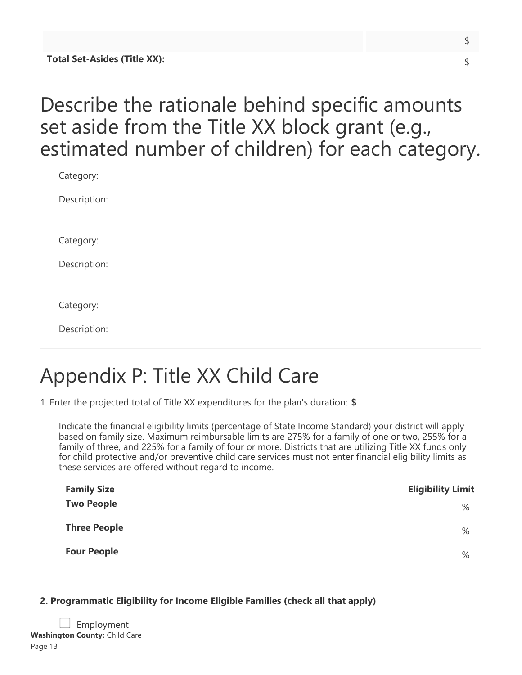## Describe the rationale behind specific amounts set aside from the Title XX block grant (e.g., estimated number of children) for each category.

| Category:    |
|--------------|
| Description: |
|              |
| Category:    |
| Description: |
|              |
| Category:    |
| Description: |

# Appendix P: Title XX Child Care

1. Enter the projected total of Title XX expenditures for the plan's duration: **\$**

Indicate the financial eligibility limits (percentage of State Income Standard) your district will apply based on family size. Maximum reimbursable limits are 275% for a family of one or two, 255% for a family of three, and 225% for a family of four or more. Districts that are utilizing Title XX funds only for child protective and/or preventive child care services must not enter financial eligibility limits as these services are offered without regard to income.

| <b>Family Size</b>  | <b>Eligibility Limit</b> |
|---------------------|--------------------------|
| <b>Two People</b>   | $\%$                     |
| <b>Three People</b> | $\%$                     |
| <b>Four People</b>  | %                        |

### **2. Programmatic Eligibility for Income Eligible Families (check all that apply)**

|         | $\Box$ Employment                    |
|---------|--------------------------------------|
|         | <b>Washington County:</b> Child Care |
| Page 13 |                                      |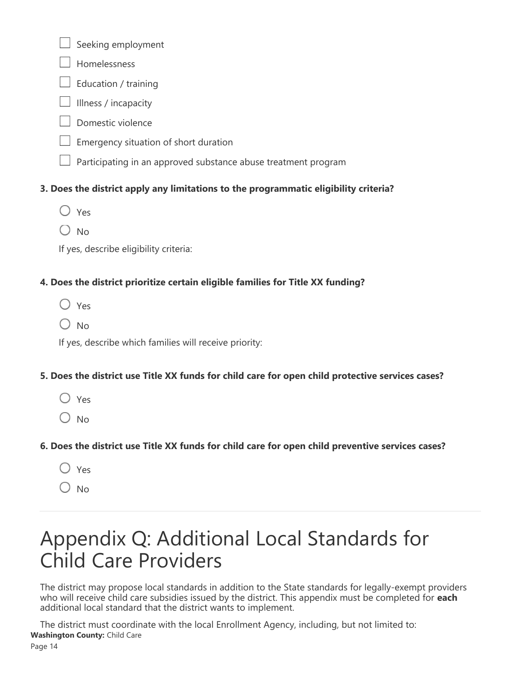Seeking employment

- Homelessness
- $\perp$  Education / training
- Illness / incapacity
- Domestic violence
- Emergency situation of short duration
- Participating in an approved substance abuse treatment program

### **3. Does the district apply any limitations to the programmatic eligibility criteria?**

- $\bigcirc$  Yes
- $\bigcirc$  No

If yes, describe eligibility criteria:

### **4. Does the district prioritize certain eligible families for Title XX funding?**

- Yes
- $O$  No

If yes, describe which families will receive priority:

### **5. Does the district use Title XX funds for child care for open child protective services cases?**

- $\bigcirc$  Yes
- $O$  No

### **6. Does the district use Title XX funds for child care for open child preventive services cases?**

- Yes
- $\bigcirc$  No

# Appendix Q: Additional Local Standards for Child Care Providers

The district may propose local standards in addition to the State standards for legally-exempt providers who will receive child care subsidies issued by the district. This appendix must be completed for **each** additional local standard that the district wants to implement.

The district must coordinate with the local Enrollment Agency, including, but not limited to: **Washington County:** Child Care

Page 14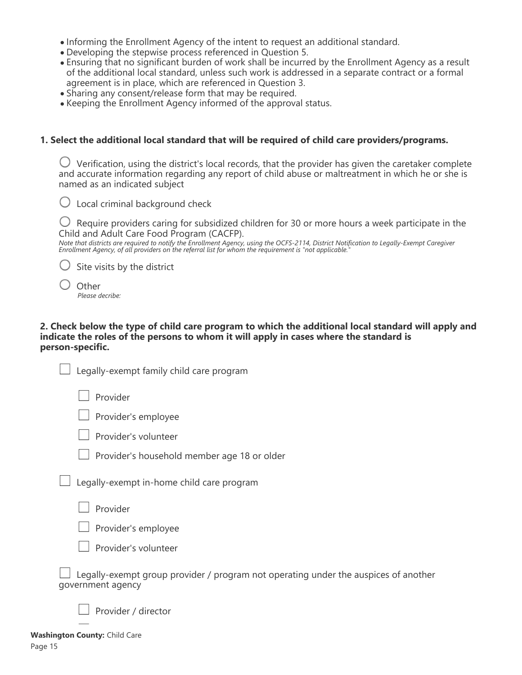- Informing the Enrollment Agency of the intent to request an additional standard.
- Developing the stepwise process referenced in Question 5.
- Ensuring that no significant burden of work shall be incurred by the Enrollment Agency as a result of the additional local standard, unless such work is addressed in a separate contract or a formal agreement is in place, which are referenced in Question 3.
- Sharing any consent/release form that may be required.
- Keeping the Enrollment Agency informed of the approval status.

#### **1. Select the additional local standard that will be required of child care providers/programs.**

 $\bigcirc$  Verification, using the district's local records, that the provider has given the caretaker complete and accurate information regarding any report of child abuse or maltreatment in which he or she is named as an indicated subject



 $\bigcup$  Require providers caring for subsidized children for 30 or more hours a week participate in the Child and Adult Care Food Program (CACFP).

*Note that districts are required to notify the Enrollment Agency, using the OCFS-2114, District Notification to Legally-Exempt Caregiver Enrollment Agency, of all providers on the referral list for whom the requirement is "not applicable."*

 $\bigcirc$  Site visits by the district

| Other           |
|-----------------|
| Please decribe: |

#### **2. Check below the type of child care program to which the additional local standard will apply and indicate the roles of the persons to whom it will apply in cases where the standard is person-specific.**

| Legally-exempt family child care program                                                                 |
|----------------------------------------------------------------------------------------------------------|
| Provider                                                                                                 |
| Provider's employee                                                                                      |
| Provider's volunteer                                                                                     |
| Provider's household member age 18 or older                                                              |
| Legally-exempt in-home child care program                                                                |
| Provider                                                                                                 |
| Provider's employee                                                                                      |
| Provider's volunteer                                                                                     |
| Legally-exempt group provider / program not operating under the auspices of another<br>government agency |
|                                                                                                          |

**Washington County:** Child Care Page 15

 $\Box$  Provider / director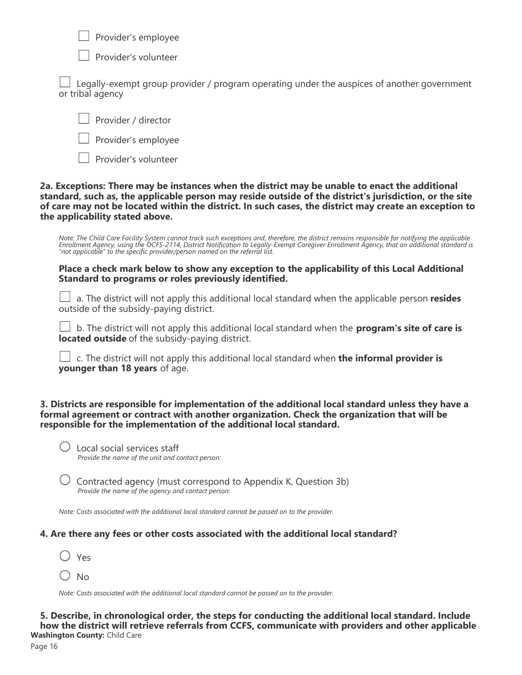$\Box$  Provider's employee



Provider's volunteer

 Legally-exempt group provider / program operating under the auspices of another government or tribal agency



Provider's employee

Provider's volunteer

#### **2a. Exceptions: There may be instances when the district may be unable to enact the additional standard, such as, the applicable person may reside outside of the district's jurisdiction, or the site of care may not be located within the district. In such cases, the district may create an exception to the applicability stated above.**

*Note: The Child Care Facility System cannot track such exceptions and, therefore, the district remains responsible for notifying the applicable Enrollment Agency, using the OCFS-2114, District Notification to Legally-Exempt Caregiver Enrollment Agency, that an additional standard is "not applicable" to the specific provider/person named on the referral list.*

#### **Place a check mark below to show any exception to the applicability of this Local Additional Standard to programs or roles previously identified.**

 a. The district will not apply this additional local standard when the applicable person **resides** outside of the subsidy-paying district.

 b. The district will not apply this additional local standard when the **program's site of care is located outside** of the subsidy-paying district.

 c. The district will not apply this additional local standard when **the informal provider is younger than 18 years** of age.

**3. Districts are responsible for implementation of the additional local standard unless they have a formal agreement or contract with another organization. Check the organization that will be responsible for the implementation of the additional local standard.**

 Local social services staff *Provide the name of the unit and contact person:*

 $\bigcup$  Contracted agency (must correspond to Appendix K, Question 3b) *Provide the name of the agency and contact person:*

*Note: Costs associated with the additional local standard cannot be passed on to the provider.*

### **4. Are there any fees or other costs associated with the additional local standard?**

|  | ×<br>v<br>×<br>I |
|--|------------------|
|--|------------------|

 $\bigcirc$  No

*Note: Costs associated with the additional local standard cannot be passed on to the provider.*

**5. Describe, in chronological order, the steps for conducting the additional local standard. Include how the district will retrieve referrals from CCFS, communicate with providers and other applicable Washington County:** Child Care

Page 16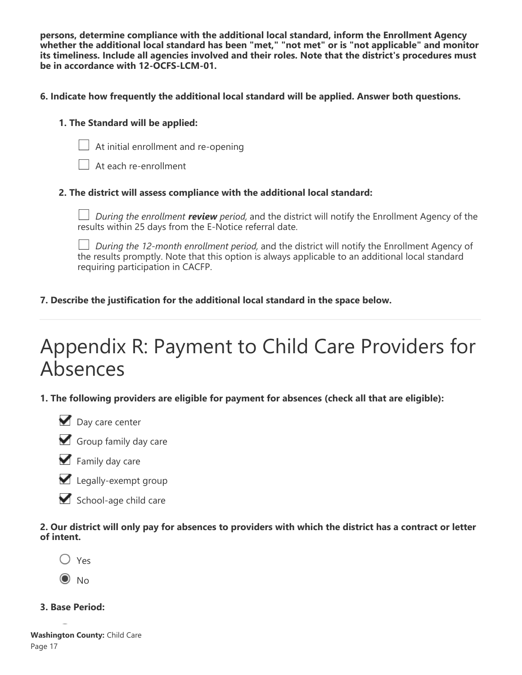**persons, determine compliance with the additional local standard, inform the Enrollment Agency whether the additional local standard has been "met," "not met" or is "not applicable" and monitor its timeliness. Include all agencies involved and their roles. Note that the district's procedures must be in accordance with 12-OCFS-LCM-01.**

#### **6. Indicate how frequently the additional local standard will be applied. Answer both questions.**

#### **1. The Standard will be applied:**



At initial enrollment and re-opening

At each re-enrollment

#### **2. The district will assess compliance with the additional local standard:**

*During the enrollment review period,* and the district will notify the Enrollment Agency of the results within 25 days from the E-Notice referral date.

*During the 12-month enrollment period,* and the district will notify the Enrollment Agency of the results promptly. Note that this option is always applicable to an additional local standard requiring participation in CACFP.

#### **7. Describe the justification for the additional local standard in the space below.**

# Appendix R: Payment to Child Care Providers for Absences

**1. The following providers are eligible for payment for absences (check all that are eligible):**







- Legally-exempt group
- School-age child care

#### **2. Our district will only pay for absences to providers with which the district has a contract or letter of intent.**

- Yes
- $\odot$  No
- **3. Base Period:**

**Washington County:** Child Care Page 17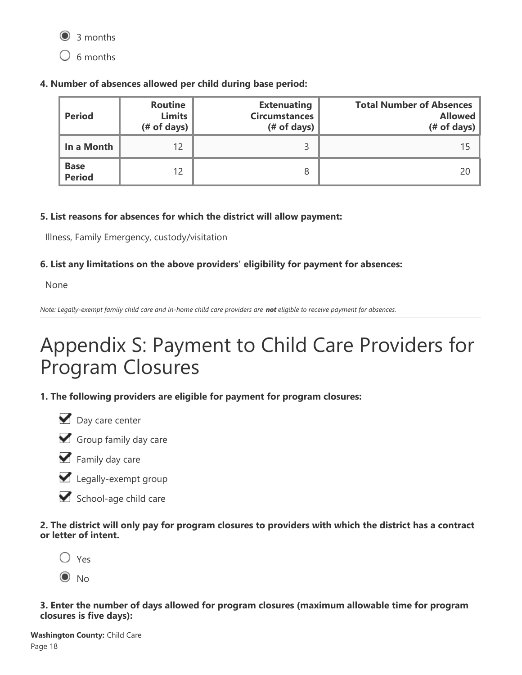

 $\bigcirc$  6 months

**4. Number of absences allowed per child during base period:**

| <b>Period</b>                | <b>Routine</b><br><b>Limits</b><br>$#$ of days) | <b>Extenuating</b><br><b>Circumstances</b><br>$#$ of days) | <b>Total Number of Absences</b><br><b>Allowed</b><br>(# of days) |
|------------------------------|-------------------------------------------------|------------------------------------------------------------|------------------------------------------------------------------|
| In a Month                   | 12                                              |                                                            |                                                                  |
| <b>Base</b><br><b>Period</b> | 12                                              | 8                                                          | 20                                                               |

### **5. List reasons for absences for which the district will allow payment:**

Illness, Family Emergency, custody/visitation

### **6. List any limitations on the above providers' eligibility for payment for absences:**

None

*Note: Legally-exempt family child care and in-home child care providers are not eligible to receive payment for absences.*

# Appendix S: Payment to Child Care Providers for Program Closures

**1. The following providers are eligible for payment for program closures:**







Legally-exempt group



**2. The district will only pay for program closures to providers with which the district has a contract or letter of intent.**



 $\odot$  No

**3. Enter the number of days allowed for program closures (maximum allowable time for program closures is five days):**

**Washington County:** Child Care Page 18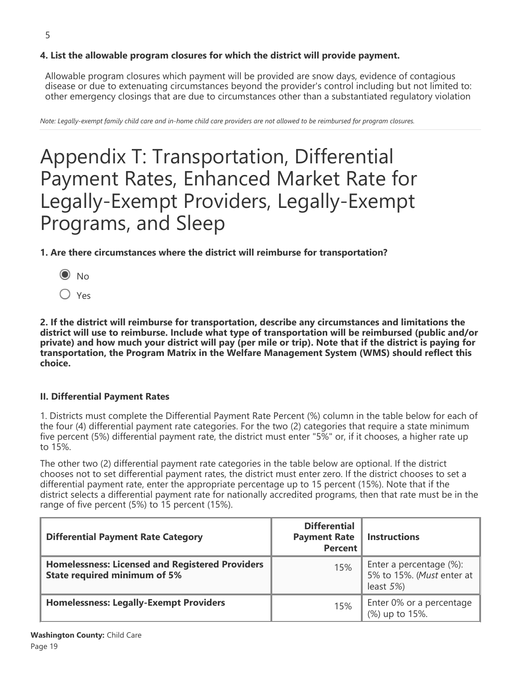### **4. List the allowable program closures for which the district will provide payment.**

Allowable program closures which payment will be provided are snow days, evidence of contagious disease or due to extenuating circumstances beyond the provider's control including but not limited to: other emergency closings that are due to circumstances other than a substantiated regulatory violation

*Note: Legally-exempt family child care and in-home child care providers are not allowed to be reimbursed for program closures.*

## Appendix T: Transportation, Differential Payment Rates, Enhanced Market Rate for Legally-Exempt Providers, Legally-Exempt Programs, and Sleep

#### **1. Are there circumstances where the district will reimburse for transportation?**

- $\odot$  No
- Yes

**2. If the district will reimburse for transportation, describe any circumstances and limitations the district will use to reimburse. Include what type of transportation will be reimbursed (public and/or private) and how much your district will pay (per mile or trip). Note that if the district is paying for transportation, the Program Matrix in the Welfare Management System (WMS) should reflect this choice.**

#### **II. Differential Payment Rates**

1. Districts must complete the Differential Payment Rate Percent (%) column in the table below for each of the four (4) differential payment rate categories. For the two (2) categories that require a state minimum five percent (5%) differential payment rate, the district must enter "5%" or, if it chooses, a higher rate up to 15%.

The other two (2) differential payment rate categories in the table below are optional. If the district chooses not to set differential payment rates, the district must enter zero. If the district chooses to set a differential payment rate, enter the appropriate percentage up to 15 percent (15%). Note that if the district selects a differential payment rate for nationally accredited programs, then that rate must be in the range of five percent (5%) to 15 percent (15%).

| <b>Differential Payment Rate Category</b>                                                     | <b>Differential</b><br><b>Payment Rate</b><br><b>Percent</b> | <b>Instructions</b>                                                   |
|-----------------------------------------------------------------------------------------------|--------------------------------------------------------------|-----------------------------------------------------------------------|
| <b>Homelessness: Licensed and Registered Providers</b><br><b>State required minimum of 5%</b> | 15%                                                          | Enter a percentage (%):<br>5% to 15%. (Must enter at<br>least $5\%$ ) |
| <b>Homelessness: Legally-Exempt Providers</b>                                                 | 15%                                                          | Enter 0% or a percentage<br>(%) up to 15%.                            |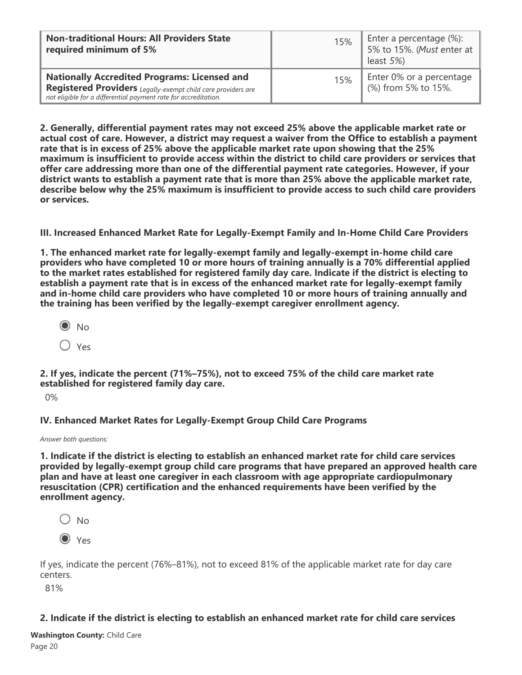| <b>Non-traditional Hours: All Providers State</b><br>required minimum of 5%                                                                                                            | 15% | Enter a percentage (%):<br>5% to 15%. (Must enter at<br>least $5\%$ ) |
|----------------------------------------------------------------------------------------------------------------------------------------------------------------------------------------|-----|-----------------------------------------------------------------------|
| <b>Nationally Accredited Programs: Licensed and</b><br>Registered Providers Legally-exempt child care providers are<br>not eligible for a differential payment rate for accreditation. | 15% | Enter 0% or a percentage<br>(%) from 5% to 15%.                       |

**2. Generally, differential payment rates may not exceed 25% above the applicable market rate or actual cost of care. However, a district may request a waiver from the Office to establish a payment rate that is in excess of 25% above the applicable market rate upon showing that the 25% maximum is insufficient to provide access within the district to child care providers or services that offer care addressing more than one of the differential payment rate categories. However, if your district wants to establish a payment rate that is more than 25% above the applicable market rate, describe below why the 25% maximum is insufficient to provide access to such child care providers or services.**

**III. Increased Enhanced Market Rate for Legally-Exempt Family and In-Home Child Care Providers**

**1. The enhanced market rate for legally-exempt family and legally-exempt in-home child care providers who have completed 10 or more hours of training annually is a 70% differential applied to the market rates established for registered family day care. Indicate if the district is electing to establish a payment rate that is in excess of the enhanced market rate for legally-exempt family and in-home child care providers who have completed 10 or more hours of training annually and the training has been verified by the legally-exempt caregiver enrollment agency.**

 $\odot$  No  $\bigcirc$  Yes

**2. If yes, indicate the percent (71%–75%), not to exceed 75% of the child care market rate established for registered family day care.**

0%

**IV. Enhanced Market Rates for Legally-Exempt Group Child Care Programs**

*Answer both questions:*

**1. Indicate if the district is electing to establish an enhanced market rate for child care services provided by legally-exempt group child care programs that have prepared an approved health care plan and have at least one caregiver in each classroom with age appropriate cardiopulmonary resuscitation (CPR) certification and the enhanced requirements have been verified by the enrollment agency.**

- $\bigcirc$  No
- O Yes

If yes, indicate the percent (76%–81%), not to exceed 81% of the applicable market rate for day care centers.

81%

#### **2. Indicate if the district is electing to establish an enhanced market rate for child care services**

**provided by legally-exempt group child care programs when, in addition to the training required in Washington County:** Child Care Page 20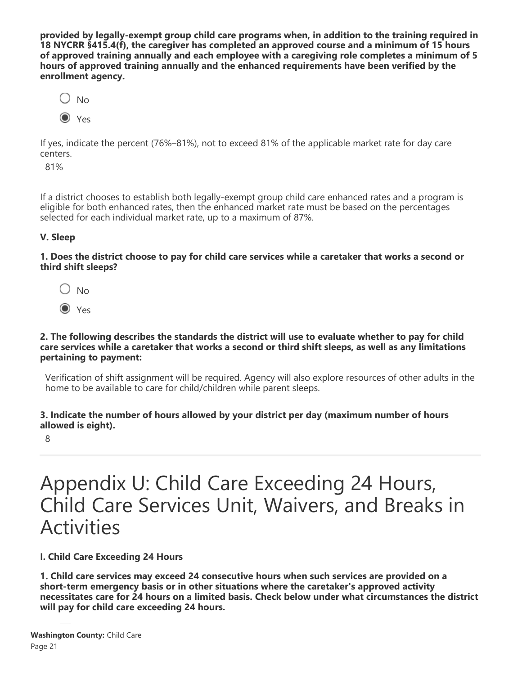**provided by legally-exempt group child care programs when, in addition to the training required in 18 NYCRR §415.4(f), the caregiver has completed an approved course and a minimum of 15 hours of approved training annually and each employee with a caregiving role completes a minimum of 5 hours of approved training annually and the enhanced requirements have been verified by the enrollment agency.**



If yes, indicate the percent (76%–81%), not to exceed 81% of the applicable market rate for day care centers.

81%

If a district chooses to establish both legally-exempt group child care enhanced rates and a program is eligible for both enhanced rates, then the enhanced market rate must be based on the percentages selected for each individual market rate, up to a maximum of 87%.

#### **V. Sleep**

**1. Does the district choose to pay for child care services while a caretaker that works a second or third shift sleeps?**



O Yes

#### **2. The following describes the standards the district will use to evaluate whether to pay for child care services while a caretaker that works a second or third shift sleeps, as well as any limitations pertaining to payment:**

Verification of shift assignment will be required. Agency will also explore resources of other adults in the home to be available to care for child/children while parent sleeps.

#### **3. Indicate the number of hours allowed by your district per day (maximum number of hours allowed is eight).**

8

### Appendix U: Child Care Exceeding 24 Hours, Child Care Services Unit, Waivers, and Breaks in Activities

### **I. Child Care Exceeding 24 Hours**

**1. Child care services may exceed 24 consecutive hours when such services are provided on a short-term emergency basis or in other situations where the caretaker's approved activity necessitates care for 24 hours on a limited basis. Check below under what circumstances the district will pay for child care exceeding 24 hours.**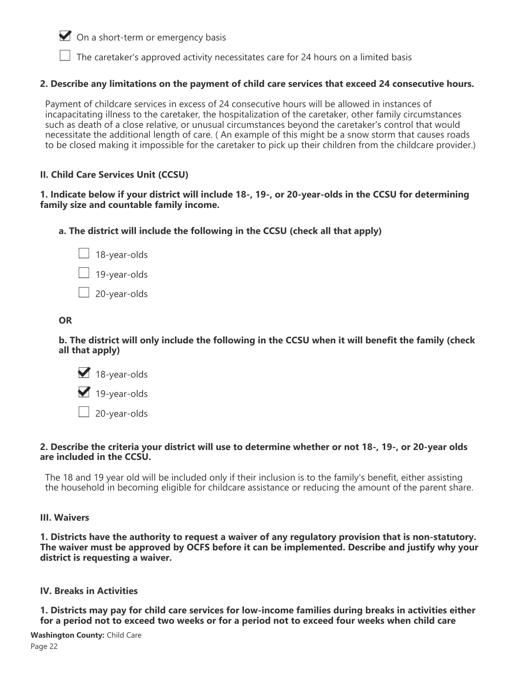$\blacksquare$  On a short-term or emergency basis

 $\Box$  The caretaker's approved activity necessitates care for 24 hours on a limited basis

#### **2. Describe any limitations on the payment of child care services that exceed 24 consecutive hours.**

Payment of childcare services in excess of 24 consecutive hours will be allowed in instances of incapacitating illness to the caretaker, the hospitalization of the caretaker, other family circumstances such as death of a close relative, or unusual circumstances beyond the caretaker's control that would necessitate the additional length of care. ( An example of this might be a snow storm that causes roads to be closed making it impossible for the caretaker to pick up their children from the childcare provider.)

#### **II. Child Care Services Unit (CCSU)**

#### **1. Indicate below if your district will include 18-, 19-, or 20-year-olds in the CCSU for determining family size and countable family income.**

**a. The district will include the following in the CCSU (check all that apply)**

| 18-year-olds |
|--------------|
| 19-year-olds |
| 20-year-olds |

#### **OR**

**b. The district will only include the following in the CCSU when it will benefit the family (check all that apply)**

18-year-olds

19-year-olds

 $\Box$  20-year-olds

#### **2. Describe the criteria your district will use to determine whether or not 18-, 19-, or 20-year olds are included in the CCSU.**

The 18 and 19 year old will be included only if their inclusion is to the family's benefit, either assisting the household in becoming eligible for childcare assistance or reducing the amount of the parent share.

#### **III. Waivers**

**1. Districts have the authority to request a waiver of any regulatory provision that is non-statutory. The waiver must be approved by OCFS before it can be implemented. Describe and justify why your district is requesting a waiver.**

#### **IV. Breaks in Activities**

**1. Districts may pay for child care services for low-income families during breaks in activities either for a period not to exceed two weeks or for a period not to exceed four weeks when child care**